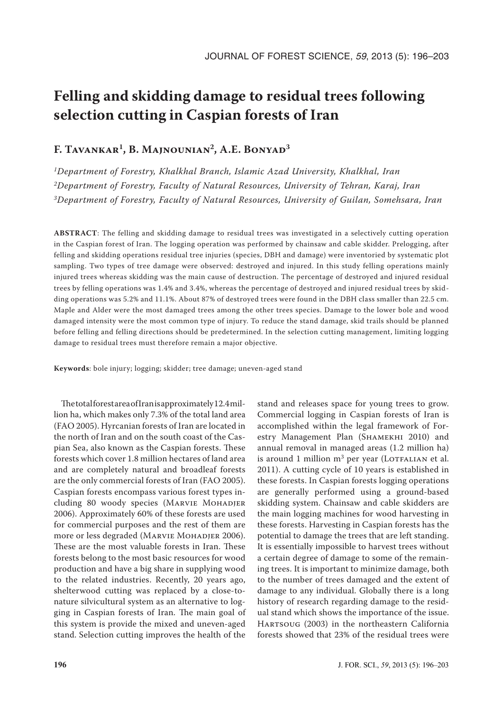# **Felling and skidding damage to residual trees following selection cutting in Caspian forests of Iran**

## **F. Tavankar1, B. Majnounian2, A.E. Bonyad3**

*1Department of Forestry, Khalkhal Branch, Islamic Azad University, Khalkhal, Iran 2Department of Forestry, Faculty of Natural Resources, University of Tehran, Karaj, Iran 3Department of Forestry, Faculty of Natural Resources, University of Guilan, Somehsara, Iran*

**ABSTRACT**: The felling and skidding damage to residual trees was investigated in a selectively cutting operation in the Caspian forest of Iran. The logging operation was performed by chainsaw and cable skidder. Prelogging, after felling and skidding operations residual tree injuries (species, DBH and damage) were inventoried by systematic plot sampling. Two types of tree damage were observed: destroyed and injured. In this study felling operations mainly injured trees whereas skidding was the main cause of destruction. The percentage of destroyed and injured residual trees by felling operations was 1.4% and 3.4%, whereas the percentage of destroyed and injured residual trees by skidding operations was 5.2% and 11.1%. About 87% of destroyed trees were found in the DBH class smaller than 22.5 cm. Maple and Alder were the most damaged trees among the other trees species. Damage to the lower bole and wood damaged intensity were the most common type of injury. To reduce the stand damage, skid trails should be planned before felling and felling directions should be predetermined. In the selection cutting management, limiting logging damage to residual trees must therefore remain a major objective.

**Keywords**: bole injury; logging; skidder; tree damage; uneven-aged stand

The total forest area of Iran is approximately 12.4 million ha, which makes only 7.3% of the total land area (FAO 2005). Hyrcanian forests of Iran are located in the north of Iran and on the south coast of the Caspian Sea, also known as the Caspian forests. These forests which cover 1.8 million hectares of land area and are completely natural and broadleaf forests are the only commercial forests of Iran (FAO 2005). Caspian forests encompass various forest types including 80 woody species (Marvie Mohadjer 2006). Approximately 60% of these forests are used for commercial purposes and the rest of them are more or less degraded (Marvie Mohadjer 2006). These are the most valuable forests in Iran. These forests belong to the most basic resources for wood production and have a big share in supplying wood to the related industries. Recently, 20 years ago, shelterwood cutting was replaced by a close-tonature silvicultural system as an alternative to logging in Caspian forests of Iran. The main goal of this system is provide the mixed and uneven-aged stand. Selection cutting improves the health of the

stand and releases space for young trees to grow. Commercial logging in Caspian forests of Iran is accomplished within the legal framework of Forestry Management Plan (SHAMEKHI 2010) and annual removal in managed areas (1.2 million ha) is around 1 million  $m^3$  per year (LOTFALIAN et al. 2011). A cutting cycle of 10 years is established in these forests. In Caspian forests logging operations are generally performed using a ground-based skidding system. Chainsaw and cable skidders are the main logging machines for wood harvesting in these forests. Harvesting in Caspian forests has the potential to damage the trees that are left standing. It is essentially impossible to harvest trees without a certain degree of damage to some of the remaining trees. It is important to minimize damage, both to the number of trees damaged and the extent of damage to any individual. Globally there is a long history of research regarding damage to the residual stand which shows the importance of the issue. Hartsoug (2003) in the northeastern California forests showed that 23% of the residual trees were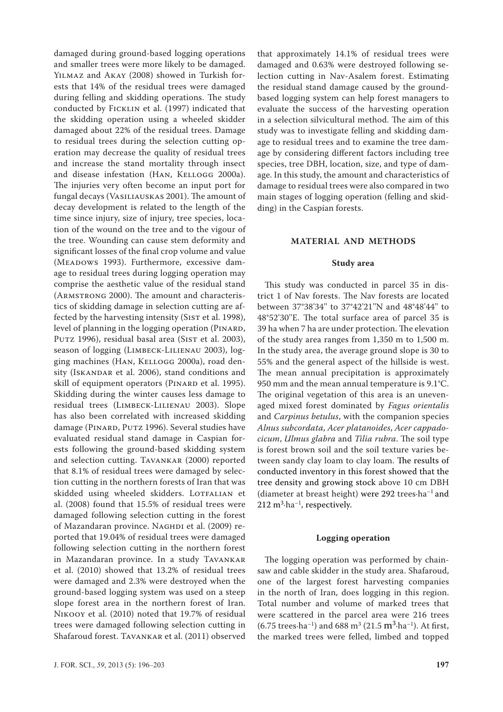damaged during ground-based logging operations and smaller trees were more likely to be damaged. Yilmaz and Akay (2008) showed in Turkish forests that 14% of the residual trees were damaged during felling and skidding operations. The study conducted by Ficklin et al. (1997) indicated that the skidding operation using a wheeled skidder damaged about 22% of the residual trees. Damage to residual trees during the selection cutting operation may decrease the quality of residual trees and increase the stand mortality through insect and disease infestation (HAN, KELLOGG 2000a). The injuries very often become an input port for fungal decays (Vasiliauskas 2001). The amount of decay development is related to the length of the time since injury, size of injury, tree species, location of the wound on the tree and to the vigour of the tree. Wounding can cause stem deformity and significant losses of the final crop volume and value (MEADOWS 1993). Furthermore, excessive damage to residual trees during logging operation may comprise the aesthetic value of the residual stand (Armstrong 2000). The amount and characteristics of skidding damage in selection cutting are affected by the harvesting intensity (SIST et al. 1998), level of planning in the logging operation (PINARD, PUTZ 1996), residual basal area (SIST et al. 2003), season of logging (LIMBECK-LILIENAU 2003), logging machines (Han, Kellogg 2000a), road density (ISKANDAR et al. 2006), stand conditions and skill of equipment operators (PINARD et al. 1995). Skidding during the winter causes less damage to residual trees (Limbeck-Lilienau 2003). Slope has also been correlated with increased skidding damage (PINARD, PUTZ 1996). Several studies have evaluated residual stand damage in Caspian forests following the ground-based skidding system and selection cutting. Tavankar (2000) reported that 8.1% of residual trees were damaged by selection cutting in the northern forests of Iran that was skidded using wheeled skidders. LOTFALIAN et al. (2008) found that 15.5% of residual trees were damaged following selection cutting in the forest of Mazandaran province. Naghpi et al. (2009) reported that 19.04% of residual trees were damaged following selection cutting in the northern forest in Mazandaran province. In a study Tavankar et al. (2010) showed that 13.2% of residual trees were damaged and 2.3% were destroyed when the ground-based logging system was used on a steep slope forest area in the northern forest of Iran. Nikooy et al. (2010) noted that 19.7% of residual trees were damaged following selection cutting in Shafaroud forest. Tavankar et al. (2011) observed

that approximately 14.1% of residual trees were damaged and 0.63% were destroyed following selection cutting in Nav-Asalem forest. Estimating the residual stand damage caused by the groundbased logging system can help forest managers to evaluate the success of the harvesting operation in a selection silvicultural method. The aim of this study was to investigate felling and skidding damage to residual trees and to examine the tree damage by considering different factors including tree species, tree DBH, location, size, and type of damage. In this study, the amount and characteristics of damage to residual trees were also compared in two main stages of logging operation (felling and skidding) in the Caspian forests.

## **MATERIAL AND METHODS**

#### **Study area**

This study was conducted in parcel 35 in district 1 of Nav forests. The Nav forests are located between 37°38'34'' to 37°42'21''N and 48°48'44'' to 48°52'30''E. The total surface area of parcel 35 is 39 ha when 7 ha are under protection. The elevation of the study area ranges from 1,350 m to 1,500 m. In the study area, the average ground slope is 30 to 55% and the general aspect of the hillside is west. The mean annual precipitation is approximately 950 mm and the mean annual temperature is 9.1°C. The original vegetation of this area is an unevenaged mixed forest dominated by *Fagus orientalis* and *Carpinus betulus*, with the companion species *Alnus subcordata*, *Acer platanoides*, *Acer cappadocicum*, *Ulmus glabra* and *Tilia rubra*. The soil type is forest brown soil and the soil texture varies between sandy clay loam to clay loam. The results of conducted inventory in this forest showed that the tree density and growing stock above 10 cm DBH (diameter at breast height) were 292 trees·ha–1 and  $212 \text{ m}^3 \cdot \text{ha}^{-1}$ , respectively.

#### **Logging operation**

The logging operation was performed by chainsaw and cable skidder in the study area. Shafaroud, one of the largest forest harvesting companies in the north of Iran, does logging in this region. Total number and volume of marked trees that were scattered in the parcel area were 216 trees  $(6.75 \text{ trees} \cdot \text{ha}^{-1})$  and  $688 \text{ m}^3 (21.5 \text{ m}^3 \cdot \text{ha}^{-1})$ . At first, the marked trees were felled, limbed and topped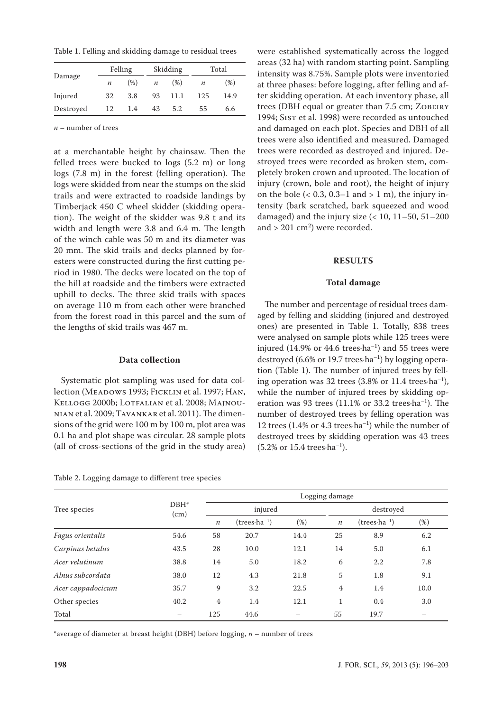Table 1. Felling and skidding damage to residual trees

|           | Felling          |      | Skidding         |      | Total |      |
|-----------|------------------|------|------------------|------|-------|------|
| Damage    | $\boldsymbol{n}$ | (% ) | $\boldsymbol{n}$ | (%)  | п     | (%)  |
| Injured   | 32               | 3.8  | 93               | 11.1 | 125   | 14.9 |
| Destroyed | 12               | 1.4  | 43               | 5.2  | 55    | 6.6  |

*n* – number of trees

at a merchantable height by chainsaw. Then the felled trees were bucked to logs (5.2 m) or long logs (7.8 m) in the forest (felling operation). The logs were skidded from near the stumps on the skid trails and were extracted to roadside landings by Timberjack 450 C wheel skidder (skidding operation). The weight of the skidder was 9.8 t and its width and length were 3.8 and 6.4 m. The length of the winch cable was 50 m and its diameter was 20 mm. The skid trails and decks planned by foresters were constructed during the first cutting period in 1980. The decks were located on the top of the hill at roadside and the timbers were extracted uphill to decks. The three skid trails with spaces on average 110 m from each other were branched from the forest road in this parcel and the sum of the lengths of skid trails was 467 m.

#### **Data collection**

Systematic plot sampling was used for data collection (MEADOWS 1993; FICKLIN et al. 1997; HAN, KELLOGG 2000b; LOTFALIAN et al. 2008; MAJNOUnian et al. 2009; Tavankar et al. 2011). The dimensions of the grid were 100 m by 100 m, plot area was 0.1 ha and plot shape was circular. 28 sample plots (all of cross-sections of the grid in the study area)

| Table 2. Logging damage to different tree species |  |  |  |
|---------------------------------------------------|--|--|--|
|---------------------------------------------------|--|--|--|

were established systematically across the logged areas (32 ha) with random starting point. Sampling intensity was 8.75%. Sample plots were inventoried at three phases: before logging, after felling and after skidding operation. At each inventory phase, all trees (DBH equal or greater than 7.5 cm; Zobeiry 1994; SIST et al. 1998) were recorded as untouched and damaged on each plot. Species and DBH of all trees were also identified and measured. Damaged trees were recorded as destroyed and injured. Destroyed trees were recorded as broken stem, completely broken crown and uprooted. The location of injury (crown, bole and root), the height of injury on the bole  $( $0.3$ ,  $0.3-1$  and  $>1$  m), the injury in$ tensity (bark scratched, bark squeezed and wood damaged) and the injury size  $(< 10, 11-50, 51-200$ and  $> 201 \text{ cm}^2$ ) were recorded.

#### **RESULTS**

#### **Total damage**

The number and percentage of residual trees damaged by felling and skidding (injured and destroyed ones) are presented in Table 1. Totally, 838 trees were analysed on sample plots while 125 trees were injured (14.9% or 44.6 trees $\cdot$ ha<sup>-1</sup>) and 55 trees were destroyed (6.6% or 19.7 trees $\cdot$ ha<sup>-1</sup>) by logging operation (Table 1). The number of injured trees by felling operation was 32 trees  $(3.8\% \text{ or } 11.4 \text{ trees} \cdot \text{ha}^{-1})$ , while the number of injured trees by skidding operation was 93 trees  $(11.1\% \text{ or } 33.2 \text{ trees} \cdot \text{ha}^{-1})$ . The number of destroyed trees by felling operation was 12 trees (1.4% or 4.3 trees $\cdot$ ha<sup>-1</sup>) while the number of destroyed trees by skidding operation was 43 trees (5.2% or 15.4 trees·ha–1).

|                   |                 |                | Logging damage          |      |              |                         |      |  |  |  |
|-------------------|-----------------|----------------|-------------------------|------|--------------|-------------------------|------|--|--|--|
| Tree species      | $DBH^*$<br>(cm) |                | injured                 |      |              | destroyed               |      |  |  |  |
|                   |                 | $\it n$        | $(trees \cdot ha^{-1})$ | (%)  | $\it n$      | $(trees \cdot ha^{-1})$ | (%)  |  |  |  |
| Fagus orientalis  | 54.6            | 58             | 20.7                    | 14.4 | 25           | 8.9                     | 6.2  |  |  |  |
| Carpinus betulus  | 43.5            | 28             | 10.0                    | 12.1 | 14           | 5.0                     | 6.1  |  |  |  |
| Acer velutinum    | 38.8            | 14             | 5.0                     | 18.2 | 6            | $2.2\,$                 | 7.8  |  |  |  |
| Alnus subcordata  | 38.0            | 12             | 4.3                     | 21.8 | 5            | 1.8                     | 9.1  |  |  |  |
| Acer cappadocicum | 35.7            | 9              | 3.2                     | 22.5 | 4            | 1.4                     | 10.0 |  |  |  |
| Other species     | 40.2            | $\overline{4}$ | 1.4                     | 12.1 | $\mathbf{1}$ | 0.4                     | 3.0  |  |  |  |
| Total             |                 | 125            | 44.6                    |      | 55           | 19.7                    |      |  |  |  |

\*average of diameter at breast height (DBH) before logging, *n* – number of trees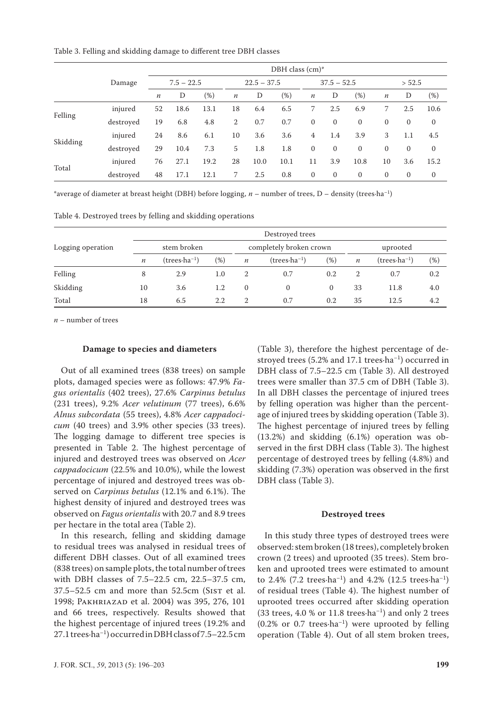Table 3. Felling and skidding damage to different tree DBH classes

|          | DBH class (cm)* |                  |              |        |                  |               |        |                  |              |               |                |              |              |
|----------|-----------------|------------------|--------------|--------|------------------|---------------|--------|------------------|--------------|---------------|----------------|--------------|--------------|
|          | Damage          |                  | $7.5 - 22.5$ |        |                  | $22.5 - 37.5$ |        |                  |              | $37.5 - 52.5$ |                | > 52.5       |              |
|          |                 | $\boldsymbol{n}$ | D            | $(\%)$ | $\boldsymbol{n}$ | D             | $(\%)$ | $\boldsymbol{n}$ | D            | $(\%)$        | $\it n$        | D            | (%)          |
| Felling  | injured         | 52               | 18.6         | 13.1   | 18               | 6.4           | 6.5    | 7                | 2.5          | 6.9           | 7              | 2.5          | 10.6         |
|          | destroyed       | 19               | 6.8          | 4.8    | 2                | 0.7           | 0.7    | $\mathbf{0}$     | $\mathbf{0}$ | $\mathbf{0}$  | $\overline{0}$ | $\mathbf{0}$ | $\mathbf{0}$ |
|          | injured         | 24               | 8.6          | 6.1    | 10               | 3.6           | 3.6    | 4                | 1.4          | 3.9           | 3              | 1.1          | 4.5          |
| Skidding | destroyed       | 29               | 10.4         | 7.3    | 5                | 1.8           | 1.8    | $\mathbf{0}$     | $\mathbf{0}$ | $\mathbf{0}$  | $\mathbf{0}$   | $\mathbf{0}$ | $\mathbf{0}$ |
| Total    | injured         | 76               | 27.1         | 19.2   | 28               | 10.0          | 10.1   | 11               | 3.9          | 10.8          | 10             | 3.6          | 15.2         |
|          | destroyed       | 48               | 17.1         | 12.1   | 7                | 2.5           | 0.8    | $\mathbf{0}$     | $\mathbf{0}$ | 0             | $\mathbf{0}$   | $\mathbf{0}$ | 0            |

\*average of diameter at breast height (DBH) before logging, *n* – number of trees, D – density (trees·ha–1)

Table 4. Destroyed trees by felling and skidding operations

|                   |                  | Destroyed trees         |        |                  |                         |        |                  |                         |        |  |  |
|-------------------|------------------|-------------------------|--------|------------------|-------------------------|--------|------------------|-------------------------|--------|--|--|
| Logging operation |                  | stem broken             |        |                  | completely broken crown |        | uprooted         |                         |        |  |  |
|                   | $\boldsymbol{n}$ | $(trees \cdot ha^{-1})$ | $(\%)$ | $\boldsymbol{n}$ | $(trees \cdot ha^{-1})$ | $(\%)$ | $\boldsymbol{n}$ | $(trees \cdot ha^{-1})$ | $(\%)$ |  |  |
| Felling           | 8                | 2.9                     | 1.0    |                  | 0.7                     | 0.2    | $\overline{2}$   | 0.7                     | 0.2    |  |  |
| Skidding          | 10               | 3.6                     | 1.2    | $\theta$         | 0                       | 0      | 33               | 11.8                    | 4.0    |  |  |
| Total             | 18               | 6.5                     | 2.2    | $\overline{2}$   | 0.7                     | 0.2    | 35               | 12.5                    | 4.2    |  |  |

*n* – number of trees

#### **Damage to species and diameters**

Out of all examined trees (838 trees) on sample plots, damaged species were as follows: 47.9% *Fagus orientalis* (402 trees), 27.6% *Carpinus betulus* (231 trees), 9.2% *Acer velutinum* (77 trees), 6.6% *Alnus subcordata* (55 trees), 4.8% *Acer cappadocicum* (40 trees) and 3.9% other species (33 trees). The logging damage to different tree species is presented in Table 2. The highest percentage of injured and destroyed trees was observed on *Acer cappadocicum* (22.5% and 10.0%), while the lowest percentage of injured and destroyed trees was observed on *Carpinus betulus* (12.1% and 6.1%). The highest density of injured and destroyed trees was observed on *Fagus orientalis* with 20.7 and 8.9 trees per hectare in the total area (Table 2).

In this research, felling and skidding damage to residual trees was analysed in residual trees of different DBH classes. Out of all examined trees (838 trees) on sample plots, the total number of trees with DBH classes of 7.5–22.5 cm, 22.5–37.5 cm,  $37.5 - 52.5$  cm and more than  $52.5$ cm (SIST et al. 1998; Pakhriazad et al. 2004) was 395, 276, 101 and 66 trees, respectively. Results showed that the highest percentage of injured trees (19.2% and 27.1 trees·ha–1) occurred in DBH class of 7.5–22.5 cm

(Table 3), therefore the highest percentage of destroyed trees (5.2% and 17.1 trees·ha<sup>-1</sup>) occurred in DBH class of 7.5–22.5 cm (Table 3). All destroyed trees were smaller than 37.5 cm of DBH (Table 3). In all DBH classes the percentage of injured trees by felling operation was higher than the percentage of injured trees by skidding operation (Table 3). The highest percentage of injured trees by felling (13.2%) and skidding (6.1%) operation was observed in the first DBH class (Table 3). The highest percentage of destroyed trees by felling (4.8%) and skidding (7.3%) operation was observed in the first DBH class (Table 3).

#### **Destroyed trees**

In this study three types of destroyed trees were observed: stem broken (18 trees), completely broken crown (2 trees) and uprooted (35 trees). Stem broken and uprooted trees were estimated to amount to 2.4% (7.2 trees $\cdot$ ha<sup>-1</sup>) and 4.2% (12.5 trees $\cdot$ ha<sup>-1</sup>) of residual trees (Table 4). The highest number of uprooted trees occurred after skidding operation (33 trees,  $4.0$  % or  $11.8$  trees $\cdot$ ha<sup>-1</sup>) and only 2 trees  $(0.2\% \text{ or } 0.7 \text{ trees-ha}^{-1})$  were uprooted by felling operation (Table 4). Out of all stem broken trees,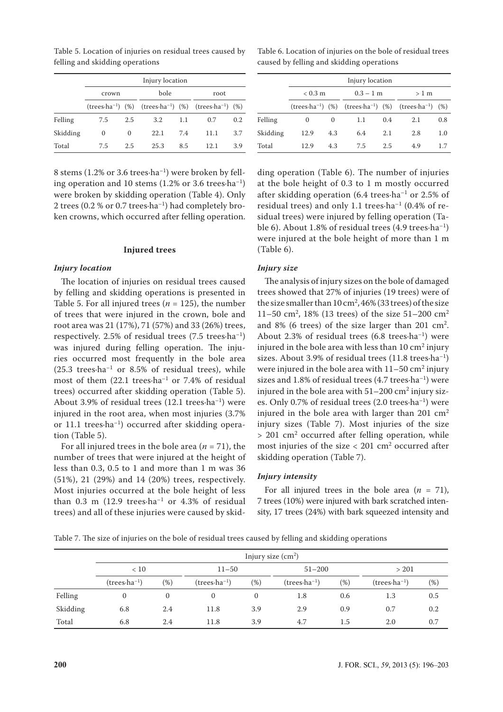Table 5. Location of injuries on residual trees caused by felling and skidding operations

|          | Injury location |     |                                                                                                                   |     |      |     |  |  |  |  |
|----------|-----------------|-----|-------------------------------------------------------------------------------------------------------------------|-----|------|-----|--|--|--|--|
|          | crown           |     | bole                                                                                                              |     | root |     |  |  |  |  |
|          |                 |     | (trees $\cdot$ ha <sup>-1</sup> ) (%) (trees $\cdot$ ha <sup>-1</sup> ) (%) (trees $\cdot$ ha <sup>-1</sup> ) (%) |     |      |     |  |  |  |  |
| Felling  | 7.5             | 2.5 | 3.2                                                                                                               | 1.1 | 0.7  | 0.2 |  |  |  |  |
| Skidding | $\Omega$        | 0   | 22.1                                                                                                              | 7.4 | 11.1 | 3.7 |  |  |  |  |
| Total    | 7.5             | 2.5 | 25.3                                                                                                              | 8.5 | 12.1 | 3.9 |  |  |  |  |

8 stems (1.2% or 3.6 trees $\cdot$ ha<sup>-1</sup>) were broken by felling operation and 10 stems  $(1.2\% \text{ or } 3.6 \text{ trees} \cdot \text{ha}^{-1})$ were broken by skidding operation (Table 4). Only 2 trees (0.2 % or 0.7 trees·ha–1) had completely broken crowns, which occurred after felling operation.

#### **Injured trees**

#### *Injury location*

The location of injuries on residual trees caused by felling and skidding operations is presented in Table 5. For all injured trees ( $n = 125$ ), the number of trees that were injured in the crown, bole and root area was 21 (17%), 71 (57%) and 33 (26%) trees, respectively. 2.5% of residual trees  $(7.5 \text{ trees} \cdot \text{ha}^{-1})$ was injured during felling operation. The injuries occurred most frequently in the bole area  $(25.3 \text{ trees} \cdot \text{ha}^{-1} \text{ or } 8.5\% \text{ of residual trees})$ , while most of them (22.1 trees·ha–1 or 7.4% of residual trees) occurred after skidding operation (Table 5). About 3.9% of residual trees  $(12.1 \text{ trees} \cdot \text{ha}^{-1})$  were injured in the root area, when most injuries (3.7% or 11.1 trees·ha–1) occurred after skidding operation (Table 5).

For all injured trees in the bole area  $(n = 71)$ , the number of trees that were injured at the height of less than 0.3, 0.5 to 1 and more than 1 m was 36 (51%), 21 (29%) and 14 (20%) trees, respectively. Most injuries occurred at the bole height of less than  $0.3$  m (12.9 trees $\cdot$ ha<sup>-1</sup> or 4.3% of residual trees) and all of these injuries were caused by skid-

Table 6. Location of injuries on the bole of residual trees caused by felling and skidding operations

|          | Injury location   |     |             |     |                                                                                           |     |  |  |  |  |
|----------|-------------------|-----|-------------|-----|-------------------------------------------------------------------------------------------|-----|--|--|--|--|
|          | $< 0.3 \text{ m}$ |     | $0.3 - 1$ m |     | $>1$ m                                                                                    |     |  |  |  |  |
|          |                   |     |             |     | (trees-ha <sup>-1</sup> ) (%) (trees-ha <sup>-1</sup> ) (%) (trees-ha <sup>-1</sup> ) (%) |     |  |  |  |  |
| Felling  | $\Omega$          | 0   | 1.1         | 0.4 | 2.1                                                                                       | 0.8 |  |  |  |  |
| Skidding | 12.9              | 4.3 | 6.4         | 2.1 | 2.8                                                                                       | 1.0 |  |  |  |  |
| Total    | 12.9              | 4.3 | 7.5         | 2.5 | 4.9                                                                                       | 1.7 |  |  |  |  |

ding operation (Table 6). The number of injuries at the bole height of 0.3 to 1 m mostly occurred after skidding operation (6.4 trees·ha–1 or 2.5% of residual trees) and only 1.1 trees $\cdot$ ha<sup>-1</sup> (0.4% of residual trees) were injured by felling operation (Table 6). About 1.8% of residual trees (4.9 trees·ha–1) were injured at the bole height of more than 1 m (Table 6).

#### *Injury size*

The analysis of injury sizes on the bole of damaged trees showed that 27% of injuries (19 trees) were of the size smaller than  $10 \text{ cm}^2$ ,  $46\%$  (33 trees) of the size 11–50 cm<sup>2</sup>, 18% (13 trees) of the size 51–200 cm<sup>2</sup> and 8% (6 trees) of the size larger than 201  $\text{cm}^2$ . About 2.3% of residual trees  $(6.8 \text{ trees} \cdot \text{ha}^{-1})$  were injured in the bole area with less than  $10 \text{ cm}^2$  injury sizes. About 3.9% of residual trees  $(11.8 \text{ trees} \cdot \text{ha}^{-1})$ were injured in the bole area with  $11-50 \text{ cm}^2$  injury sizes and 1.8% of residual trees  $(4.7 \text{ trees} \cdot \text{ha}^{-1})$  were injured in the bole area with  $51-200 \text{ cm}^2$  injury sizes. Only 0.7% of residual trees (2.0 trees·ha–1) were injured in the bole area with larger than  $201 \text{ cm}^2$ injury sizes (Table 7). Most injuries of the size  $> 201$  cm<sup>2</sup> occurred after felling operation, while most injuries of the size  $< 201 \, \text{cm}^2$  occurred after skidding operation (Table 7).

#### *Injury intensity*

For all injured trees in the bole area  $(n = 71)$ , 7 trees (10%) were injured with bark scratched intensity, 17 trees (24%) with bark squeezed intensity and

Table 7. The size of injuries on the bole of residual trees caused by felling and skidding operations

|          | Injury size $(cm2)$     |              |                         |              |                         |            |                         |       |  |  |
|----------|-------------------------|--------------|-------------------------|--------------|-------------------------|------------|-------------------------|-------|--|--|
|          | < 10                    |              | $11 - 50$               |              |                         | $51 - 200$ |                         | > 201 |  |  |
|          | $(trees \cdot ha^{-1})$ | (%)          | $(trees \cdot ha^{-1})$ | (% )         | $(trees \cdot ha^{-1})$ | (%)        | $(trees \cdot ha^{-1})$ | (%)   |  |  |
| Felling  | $\mathbf{0}$            | $\mathbf{0}$ | $\mathbf{0}$            | $\mathbf{0}$ | 1.8                     | 0.6        | 1.3                     | 0.5   |  |  |
| Skidding | 6.8                     | 2.4          | 11.8                    | 3.9          | 2.9                     | 0.9        | 0.7                     | 0.2   |  |  |
| Total    | 6.8                     | 2.4          | 11.8                    | 3.9          | 4.7                     | 1.5        | 2.0                     | 0.7   |  |  |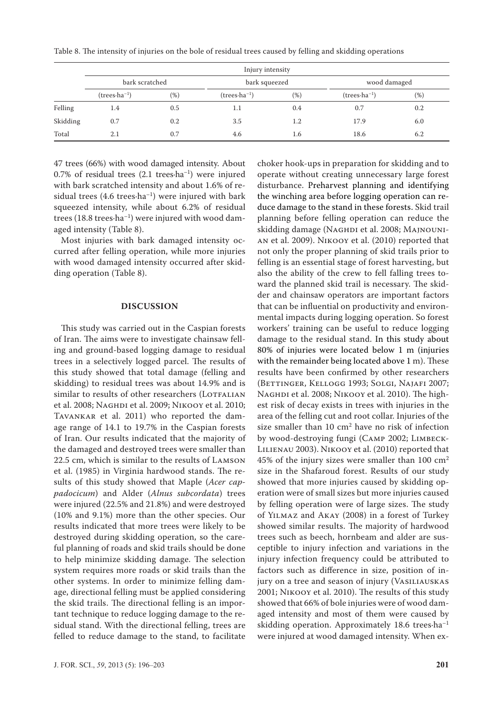| Table 8. The intensity of injuries on the bole of residual trees caused by felling and skidding operations |  |  |  |  |  |
|------------------------------------------------------------------------------------------------------------|--|--|--|--|--|
|------------------------------------------------------------------------------------------------------------|--|--|--|--|--|

|          | Injury intensity        |     |                         |     |                         |        |  |  |  |  |
|----------|-------------------------|-----|-------------------------|-----|-------------------------|--------|--|--|--|--|
|          | bark scratched          |     | bark squeezed           |     | wood damaged            |        |  |  |  |  |
|          | $(trees \cdot ha^{-1})$ | (%) | $(trees \cdot ha^{-1})$ | (%) | $(trees \cdot ha^{-1})$ | $(\%)$ |  |  |  |  |
| Felling  | 1.4                     | 0.5 | 1.1                     | 0.4 | 0.7                     | 0.2    |  |  |  |  |
| Skidding | 0.7                     | 0.2 | 3.5                     | 1.2 | 17.9                    | 6.0    |  |  |  |  |
| Total    | 2.1                     | 0.7 | 4.6                     | 1.6 | 18.6                    | 6.2    |  |  |  |  |

47 trees (66%) with wood damaged intensity. About 0.7% of residual trees  $(2.1 \text{ trees} \cdot \text{ha}^{-1})$  were injured with bark scratched intensity and about 1.6% of residual trees  $(4.6 \text{ trees} \cdot \text{ha}^{-1})$  were injured with bark squeezed intensity, while about 6.2% of residual trees (18.8 trees $\cdot$ ha<sup>-1</sup>) were injured with wood damaged intensity (Table 8).

Most injuries with bark damaged intensity occurred after felling operation, while more injuries with wood damaged intensity occurred after skidding operation (Table 8).

#### **DISCUSSION**

This study was carried out in the Caspian forests of Iran. The aims were to investigate chainsaw felling and ground-based logging damage to residual trees in a selectively logged parcel. The results of this study showed that total damage (felling and skidding) to residual trees was about 14.9% and is similar to results of other researchers (LOTFALIAN et al. 2008; Naghdi et al. 2009; Nikooy et al. 2010; Tavankar et al. 2011) who reported the damage range of 14.1 to 19.7% in the Caspian forests of Iran. Our results indicated that the majority of the damaged and destroyed trees were smaller than 22.5 cm, which is similar to the results of Lamson et al. (1985) in Virginia hardwood stands. The results of this study showed that Maple (*Acer cappadocicum*) and Alder (*Alnus subcordata*) trees were injured (22.5% and 21.8%) and were destroyed (10% and 9.1%) more than the other species. Our results indicated that more trees were likely to be destroyed during skidding operation, so the careful planning of roads and skid trails should be done to help minimize skidding damage. The selection system requires more roads or skid trails than the other systems. In order to minimize felling damage, directional felling must be applied considering the skid trails. The directional felling is an important technique to reduce logging damage to the residual stand. With the directional felling, trees are felled to reduce damage to the stand, to facilitate

J. FOR. SCI., *59*, 2013 (5): 196–203 **201**

choker hook-ups in preparation for skidding and to operate without creating unnecessary large forest disturbance. Preharvest planning and identifying the winching area before logging operation can reduce damage to the stand in these forests. Skid trail planning before felling operation can reduce the skidding damage (NAGHDI et al. 2008; MAJNOUNIan et al. 2009). Nikooy et al. (2010) reported that not only the proper planning of skid trails prior to felling is an essential stage of forest harvesting, but also the ability of the crew to fell falling trees toward the planned skid trail is necessary. The skidder and chainsaw operators are important factors that can be influential on productivity and environmental impacts during logging operation. So forest workers' training can be useful to reduce logging damage to the residual stand. In this study about 80% of injuries were located below 1 m (injuries with the remainder being located above 1 m). These results have been confirmed by other researchers (Bettinger, Kellogg 1993; Solgi, Najafi 2007; NAGHDI et al. 2008; NIKOOY et al. 2010). The highest risk of decay exists in trees with injuries in the area of the felling cut and root collar. Injuries of the size smaller than  $10 \text{ cm}^2$  have no risk of infection by wood-destroying fungi (Camp 2002; Limbeck-Lilienau 2003). Nikooy et al. (2010) reported that 45% of the injury sizes were smaller than 100 cm<sup>2</sup> size in the Shafaroud forest. Results of our study showed that more injuries caused by skidding operation were of small sizes but more injuries caused by felling operation were of large sizes. The study of Yilmaz and Akay (2008) in a forest of Turkey showed similar results. The majority of hardwood trees such as beech, hornbeam and alder are susceptible to injury infection and variations in the injury infection frequency could be attributed to factors such as difference in size, position of injury on a tree and season of injury (VASILIAUSKAS 2001; Nikooy et al. 2010). The results of this study showed that 66% of bole injuries were of wood damaged intensity and most of them were caused by skidding operation. Approximately  $18.6$  trees $\cdot$ ha<sup>-1</sup> were injured at wood damaged intensity. When ex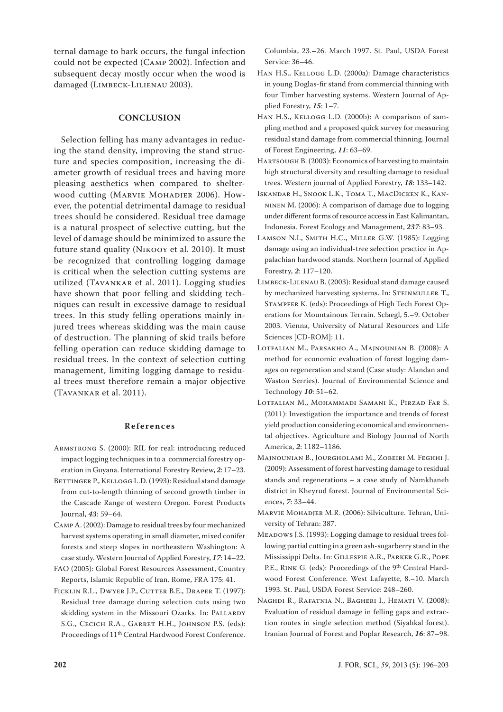ternal damage to bark occurs, the fungal infection could not be expected (Camp 2002). Infection and subsequent decay mostly occur when the wood is damaged (Limbeck-Lilienau 2003).

### **CONCLUSION**

Selection felling has many advantages in reducing the stand density, improving the stand structure and species composition, increasing the diameter growth of residual trees and having more pleasing aesthetics when compared to shelterwood cutting (Marvie Mohadjer 2006). However, the potential detrimental damage to residual trees should be considered. Residual tree damage is a natural prospect of selective cutting, but the level of damage should be minimized to assure the future stand quality (Nikooy et al. 2010). It must be recognized that controlling logging damage is critical when the selection cutting systems are utilized (Tavankar et al. 2011). Logging studies have shown that poor felling and skidding techniques can result in excessive damage to residual trees. In this study felling operations mainly injured trees whereas skidding was the main cause of destruction. The planning of skid trails before felling operation can reduce skidding damage to residual trees. In the context of selection cutting management, limiting logging damage to residual trees must therefore remain a major objective (Tavankar et al. 2011).

#### **References**

- Armstrong S. (2000): RIL for real: introducing reduced impact logging techniques in to a commercial forestry operation in Guyana. International Forestry Review, *2*: 17–23.
- BETTINGER P., KELLOGG L.D. (1993): Residual stand damage from cut-to-length thinning of second growth timber in the Cascade Range of western Oregon. Forest Products Journal, *43*: 59–64.
- Camp A. (2002): Damage to residual trees by four mechanized harvest systems operating in small diameter, mixed conifer forests and steep slopes in northeastern Washington: A case study. Western Journal of Applied Forestry, *17*: 14–22.
- FAO (2005): Global Forest Resources Assessment, Country Reports, Islamic Republic of Iran. Rome, FRA 175: 41.
- Ficklin R.L., Dwyer J.P., Cutter B.E., Draper T. (1997): Residual tree damage during selection cuts using two skidding system in the Missouri Ozarks. In: PALLARDY S.G., Cecich R.A., Garret H.H., Johnson P.S. (eds): Proceedings of 11th Central Hardwood Forest Conference.

Columbia, 23.–26. March 1997. St. Paul, USDA Forest Service: 36–46.

- Han H.S., Kellogg L.D. (2000a): Damage characteristics in young Doglas-fir stand from commercial thinning with four Timber harvesting systems. Western Journal of Applied Forestry, *15*: 1–7.
- Han H.S., Kellogg L.D. (2000b): A comparison of sampling method and a proposed quick survey for measuring residual stand damage from commercial thinning. Journal of Forest Engineering, *11*: 63–69.
- HARTSOUGH B. (2003): Economics of harvesting to maintain high structural diversity and resulting damage to residual trees. Western journal of Applied Forestry, *18*: 133–142.
- Iskandar H., Snook L.K., Toma T., MacDicken K., Kanninen M. (2006): A comparison of damage due to logging under different forms of resource access in East Kalimantan, Indonesia. Forest Ecology and Management, *237*: 83–93.
- Lamson N.I., Smith H.C., Miller G.W. (1985): Logging damage using an individual-tree selection practice in Appalachian hardwood stands. Northern Journal of Applied Forestry, *2*: 117–120.
- Limbeck-Lilenau B. (2003): Residual stand damage caused by mechanized harvesting systems. In: STEINMULLER T., Stampfer K. (eds): Proceedings of High Tech Forest Operations for Mountainous Terrain. Sclaegl, 5.–9. October 2003. Vienna, University of Natural Resources and Life Sciences [CD-ROM]: 11.
- Lotfalian M., Parsakho A., Majnounian B. (2008): A method for economic evaluation of forest logging damages on regeneration and stand (Case study: Alandan and Waston Serries). Journal of Environmental Science and Technology *10*: 51–62.
- Lotfalian M., Mohammadi Samani K., Pirzad Far S. (2011): Investigation the importance and trends of forest yield production considering economical and environmental objectives. Agriculture and Biology Journal of North America, *2*: 1182–1186.
- Majnounian B., Jourgholami M., Zobeiri M. Feghhi J. (2009): Assessment of forest harvesting damage to residual stands and regenerations – a case study of Namkhaneh district in Kheyrud forest. Journal of Environmental Sciences, *7*: 33–44.
- Marvie Mohadjer M.R. (2006): Silviculture. Tehran, University of Tehran: 387.
- Meadows J.S. (1993): Logging damage to residual trees following partial cutting in a green ash-sugarberry stand in the Mississippi Delta. In: Gillespie A.R., Parker G.R., Pope P.E., RINK G. (eds): Proceedings of the 9<sup>th</sup> Central Hardwood Forest Conference. West Lafayette, 8.–10. March 1993. St. Paul, USDA Forest Service: 248–260.
- Naghdi R., Rafatnia N., Bagheri I., Hemati V. (2008): Evaluation of residual damage in felling gaps and extraction routes in single selection method (Siyahkal forest). Iranian Journal of Forest and Poplar Research, *16*: 87–98.